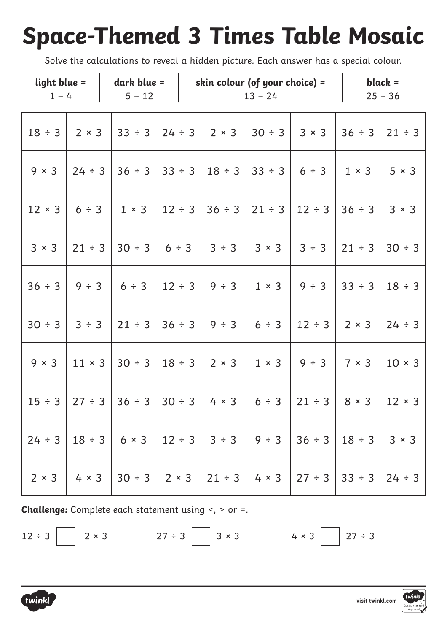# **Space-Themed 3 Times Table Mosaic**

Solve the calculations to reveal a hidden picture. Each answer has a special colour.

| $1 - 4$       |              | $light blue =   dark blue =  $<br>$5 - 12$                                                             |             | skin colour (of your choice) = | $13 - 24$         |                                                   |                     | $black =$<br>$25 - 36$ |  |
|---------------|--------------|--------------------------------------------------------------------------------------------------------|-------------|--------------------------------|-------------------|---------------------------------------------------|---------------------|------------------------|--|
| $18 \div 3$   | $2 \times 3$ | $33 \div 3$ 24 ÷ 3 2 × 3                                                                               |             |                                | $30 \div 3$ 3 × 3 |                                                   | $36 \div 3$         | $21 \div 3$            |  |
| $9 \times 3$  | $24 \div 3$  | $36 \div 3$ 33 $\div 3$                                                                                |             | $18 \div 3$                    |                   | $ 33 \div 3 $ 6 ÷ 3                               | $1 \times 3$        | $5 \times 3$           |  |
| $12 \times 3$ |              | $6 \div 3$   1 $\times$ 3                                                                              | $12 \div 3$ | $36 \div 3$                    |                   | $21 \div 3 \vert 12 \div 3 \vert 36 \div 3 \vert$ |                     | $3 \times 3$           |  |
| $3 \times 3$  |              | $21 \div 3$   30 $\div 3$   6 $\div 3$   3 $\div 3$   3 $\times 3$                                     |             |                                |                   |                                                   | $3 \div 3$   21 ÷ 3 | $30 \div 3$            |  |
| $36 \div 3$   | $9 \div 3$   | $6 \div 3$                                                                                             | $12 \div 3$ | $9 \div 3$                     |                   | $1 \times 3$ 9 ÷ 3 3 ÷ 3                          |                     | $18 \div 3$            |  |
| $30 \div 3$   | 3 ÷ 3        | $21 \div 3$ 36 $\div 3$                                                                                |             | $9 \div 3$                     | 6 ÷ 3             | $12 \div 3$                                       | $2 \times 3$        | $24 \div 3$            |  |
| $9 \times 3$  |              | $ 11 \times 3  30 \div 3  18 \div 3  2 \times 3  1 \times 3  9 \div 3 $                                |             |                                |                   |                                                   | $7 \times 3$        | $10 \times 3$          |  |
| $15 \div 3$   |              |                                                                                                        |             |                                |                   |                                                   |                     | $12 \times 3$          |  |
| $24 \div 3$   |              |                                                                                                        |             |                                |                   |                                                   |                     |                        |  |
|               |              | $2 \times 3$   4 $\times$ 3   30 ÷ 3   2 $\times$ 3   21 ÷ 3   4 $\times$ 3   27 ÷ 3   33 ÷ 3   24 ÷ 3 |             |                                |                   |                                                   |                     |                        |  |

**Challenge:** Complete each statement using <, > or =.

 $12 \div 3$  2 × 3 27 ÷ 3 3  $4 \times 3$  27 ÷ 3



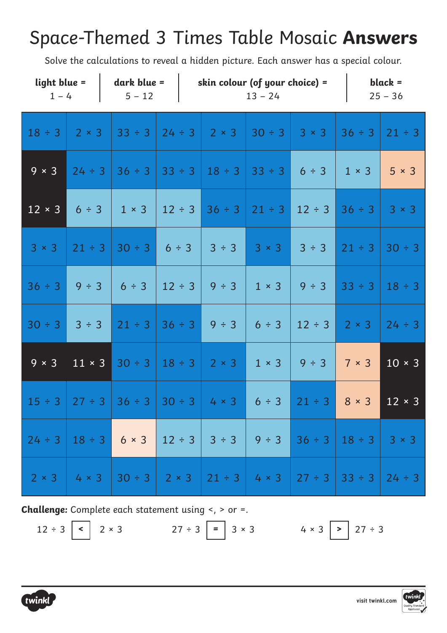### Space-Themed 3 Times Table Mosaic **Answers**

Solve the calculations to reveal a hidden picture. Each answer has a special colour.

| light blue =<br>$1 - 4$ |               | dark blue $=$<br>$5 - 12$           |                         | skin colour (of your choice) $=$                                   | $13 - 24$    |              |              | $black =$<br>$25 - 36$ |
|-------------------------|---------------|-------------------------------------|-------------------------|--------------------------------------------------------------------|--------------|--------------|--------------|------------------------|
| $18 \div 3$             | $2 \times 3$  | $33 \div 3$                         | $24 \div 3$             | $2 \times 3$                                                       | $30 \div 3$  | $3 \times 3$ | $36 \div 3$  | $21 \div 3$            |
| $9 \times 3$            | $24 \div 3$   |                                     | $36 \div 3$ 33 $\div 3$ | $18 \div 3$                                                        | $33 \div 3$  | 6 ÷ 3        | $1 \times 3$ | $5 \times 3$           |
| $12 \times 3$           | 6 ÷ 3         | $1 \times 3$                        | $12 \div 3$             | $36 \div 3$                                                        | $21 \div 3$  | $12 \div 3$  | $36 \div 3$  | $3 \times 3$           |
| $3 \times 3$            | $21 \div 3$   | $30 \div 3$                         | $6 \div 3$              | 3 ÷ 3                                                              | $3 \times 3$ | 3 ÷ 3        | $21 \div 3$  | $30 \div 3$            |
| $36 \div 3$             | 9 ÷ 3         | 6 ÷ 3                               | $12 \div 3$             | $9 \div 3$                                                         | $1 \times 3$ | 9 ÷ 3        | $33 \div 3$  | $18 \div 3$            |
| $30 \div 3$             | 3 ÷ 3         | $21 \div 3$                         | $36 \div 3$             | 9 ÷ 3                                                              | 6 ÷ 3        | $12 \div 3$  | $2 \times 3$ | $24 \div 3$            |
| $9 \times 3$            | $11 \times 3$ | $30 \div 3$                         | $18 \div 3$             | $2 \times 3$                                                       | $1 \times 3$ | 9 ÷ 3        | $7 \times 3$ | $10 \times 3$          |
| $15 \div 3$             |               | $27 \div 3$ 36 $\div 3$ 30 $\div 3$ |                         | $4 \times 3$                                                       | 6 ÷ 3        | $21 \div 3$  | $8 \times 3$ | $12 \times 3$          |
| $24 \div 3$             |               |                                     |                         |                                                                    |              |              |              |                        |
| $2 \times 3$            |               |                                     |                         | $4 \times 3$ 30 ÷ 3 $2 \times 3$ 21 ÷ 3 4 × 3 27 ÷ 3 33 ÷ 3 24 ÷ 3 |              |              |              |                        |

**Challenge:** Complete each statement using <, > or =.

12 ÷ 3 **<** 2 × 3 27 ÷ 3 **=** 3 × 3 4 × 3 **>** 27 ÷ 3



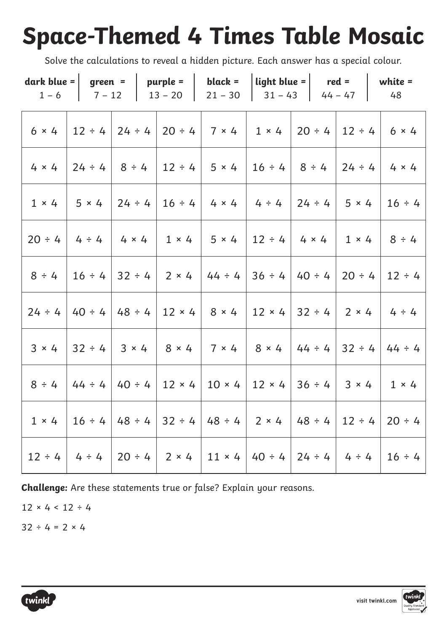# **Space-Themed 4 Times Table Mosaic**

Solve the calculations to reveal a hidden picture. Each answer has a special colour.

|  | dark blue =   green =   purple =   black =   light blue =   red =   white =<br>$1-6$   $7-12$   $13-20$   $21-30$   $31-43$   $44-47$   48 |  |  |              |                                                                                                                               |
|--|--------------------------------------------------------------------------------------------------------------------------------------------|--|--|--------------|-------------------------------------------------------------------------------------------------------------------------------|
|  |                                                                                                                                            |  |  |              | $6 \times 4$   12 ÷ 4   24 ÷ 4   20 ÷ 4   7 × 4   1 × 4   20 ÷ 4   12 ÷ 4   6 × 4                                             |
|  | $4 \times 4$   24 ÷ 4   8 ÷ 4   12 ÷ 4   5 × 4   16 ÷ 4   8 ÷ 4   24 ÷ 4                                                                   |  |  |              | $4 \times 4$                                                                                                                  |
|  | $1 \times 4$   $5 \times 4$   $24 \div 4$   $16 \div 4$   $4 \times 4$   $4 \div 4$   $24 \div 4$                                          |  |  | $5 \times 4$ | $16 \div 4$                                                                                                                   |
|  | $20 \div 4$ 4 $\div 4$ 4 $\times 4$ 1 $\times 4$ 5 $\times 4$ 12 $\div 4$ 4 $\times 4$ 1 $\times 4$                                        |  |  |              | $8 \div 4$                                                                                                                    |
|  | $8 \div 4$   16 $\div 4$   32 $\div 4$   2 $\times$ 4   44 $\div 4$   36 $\div 4$   40 $\div 4$   20 $\div 4$                              |  |  |              | $12 \div 4$                                                                                                                   |
|  | $24 \div 4$   40 $\div 4$   48 $\div 4$   12 $\times$ 4   8 $\times$ 4   12 $\times$ 4   32 $\div 4$   2 $\times$ 4                        |  |  |              | $4 \div 4$                                                                                                                    |
|  |                                                                                                                                            |  |  |              | $3 \times 4$   32 ÷ 4   3 × 4   8 × 4   7 × 4   8 × 4   44 ÷ 4   32 ÷ 4   44 ÷ 4                                              |
|  | $8 \div 4$   44 $\div 4$   40 $\div 4$   12 $\times$ 4   10 $\times$ 4   12 $\times$ 4   36 $\div 4$                                       |  |  | $3 \times 4$ | $1 \times 4$                                                                                                                  |
|  |                                                                                                                                            |  |  |              | $1 \times 4$   $16 \div 4$   $48 \div 4$   $32 \div 4$   $48 \div 4$   $2 \times 4$   $48 \div 4$   $12 \div 4$   $20 \div 4$ |
|  | $12 \div 4$   4 $\div 4$   20 $\div 4$   2 $\times$ 4   11 $\times$ 4   40 $\div 4$   24 $\div 4$   4 $\div 4$                             |  |  |              | $16 \div 4$                                                                                                                   |

**Challenge:** Are these statements true or false? Explain your reasons.

 $12 \times 4 \times 12 \div 4$ 

 $32 \div 4 = 2 \times 4$ 



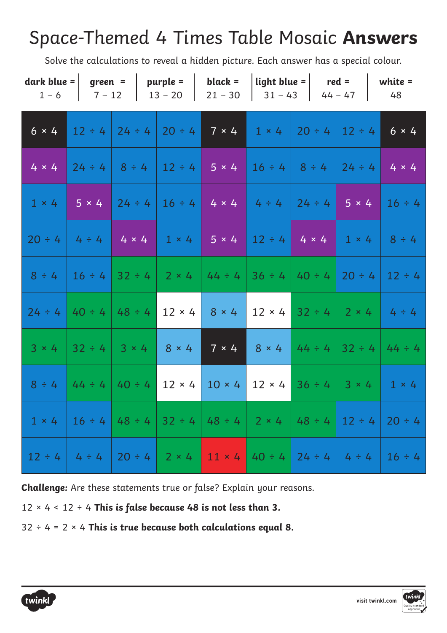### Space-Themed 4 Times Table Mosaic **Answers**

Solve the calculations to reveal a hidden picture. Each answer has a special colour.

|              |                                         | dark blue = $\vert$ green = $\vert$ purple = $\vert$ | black =<br>$1-6$   $7-12$   $13-20$   $21-30$   $31-43$   $44-47$   $48$                                         |                                                              | $\vert$ light blue = $\vert$ red = $\vert$ white = |                                                                                                                             |
|--------------|-----------------------------------------|------------------------------------------------------|------------------------------------------------------------------------------------------------------------------|--------------------------------------------------------------|----------------------------------------------------|-----------------------------------------------------------------------------------------------------------------------------|
| $6 \times 4$ |                                         |                                                      | $12 \div 4$   24 $\div 4$   20 $\div 4$   7 $\times$ 4   1 $\times$ 4   20 $\div 4$   12 $\div 4$   6 $\times$ 4 |                                                              |                                                    |                                                                                                                             |
| $4 \times 4$ |                                         |                                                      | $ 24 \div 4 8 \div 4 12 \div 4 5 \times 4 16 \div 4 8 \div 4 24 \div 4 4 \times 4$                               |                                                              |                                                    |                                                                                                                             |
| $1 \times 4$ |                                         |                                                      |                                                                                                                  |                                                              |                                                    | $-5 \times 4$ 24 ÷ 4 16 ÷ 4 4 $\times 4$ 4 ÷ 4 24 ÷ 4 5 $\times$ 4 16 ÷ 4                                                   |
|              |                                         |                                                      | $20 \div 4$ 4 $\div 4$ 4 $\times 4$ 1 $\times 4$ 5 $\times 4$ 12 $\div 4$ 4 $\times 4$                           |                                                              |                                                    | $1 \times 4$ 8 ÷ 4                                                                                                          |
|              |                                         |                                                      |                                                                                                                  |                                                              |                                                    | $8 \div 4$   16 $\div 4$   32 $\div 4$   2 $\times$ 4   44 $\div 4$   36 $\div 4$   40 $\div 4$   20 $\div 4$   12 $\div 4$ |
|              | $24 \div 4$   40 $\div 4$   48 $\div 4$ | $12 \times 4$                                        |                                                                                                                  | $8 \times 4$   12 $\times$ 4   32 ÷ 4   2 $\times$ 4   4 ÷ 4 |                                                    |                                                                                                                             |
| $3 \times 4$ |                                         | $32 \div 4$ 3 × 4 8 × 4                              | $7 \times 4$                                                                                                     |                                                              |                                                    | $8 \times 4$ 44 ÷ 4 32 ÷ 4 44 ÷ 4                                                                                           |
| $8 \div 4$   | $44 \div 4$ $40 \div 4$                 | $12 \times 4$                                        |                                                                                                                  |                                                              |                                                    | $10 \times 4$ 12 $\times 4$ 36 ÷ 4 3 $\times 4$ 1 $\times 4$                                                                |
|              |                                         |                                                      |                                                                                                                  |                                                              |                                                    | $1 \times 4$   16 ÷ 4   48 ÷ 4   32 ÷ 4   48 ÷ 4   2 × 4   48 ÷ 4   12 ÷ 4   20 ÷ 4                                         |
|              |                                         |                                                      | $12 \div 4$ 4 $\div 4$ 20 $\div 4$ 2 $\times 4$ 11 $\times 4$ 40 $\div 4$ 24 $\div 4$ 4 $\div 4$                 |                                                              |                                                    | $16 \div 4$                                                                                                                 |

**Challenge:** Are these statements true or false? Explain your reasons.

12 × 4 < 12 ÷ 4 **This is false because 48 is not less than 3.**

32 ÷ 4 = 2 × 4 **This is true because both calculations equal 8.**



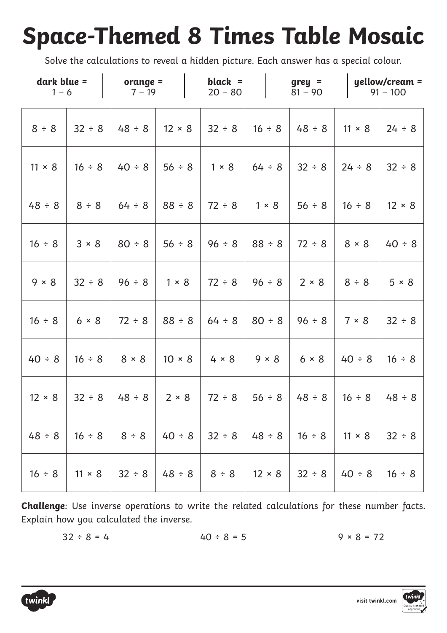## **Space-Themed 8 Times Table Mosaic**

Solve the calculations to reveal a hidden picture. Each answer has a special colour.

| dark blue =<br>$1 - 6$ |               | orange $=$<br>$7 - 19$ |               | black $=$<br>$20 - 80$ |               |              | $grey =$<br>$81 - 90$ |               | $yellow/c$ ream =<br>$91 - 100$ |
|------------------------|---------------|------------------------|---------------|------------------------|---------------|--------------|-----------------------|---------------|---------------------------------|
| 8 ÷ 8                  | $32 \div 8$   | $48 \div 8$            | $12 \times 8$ | 32 ÷ 8                 | $16 \div 8$   |              | $48 \div 8$           | $11 \times 8$ | 24 ÷ 8                          |
| $11 \times 8$          | $16 \div 8$   | $40 \div 8$            | 56 ÷ 8        | $1 \times 8$           | $64 \div 8$   |              | $32 \div 8$           | 24 ÷ 8        | $32 \div 8$                     |
| $48 \div 8$            | 8 ÷ 8         | 64 ÷ 8                 | 88 ÷ 8        | $72 \div 8$            |               | $1 \times 8$ | 56 ÷ 8                | $16 \div 8$   | $12 \times 8$                   |
| $16 \div 8$            | 3 × 8         | $80 \div 8$            | 56 ÷ 8        | 96 ÷ 8                 |               | $88 \div 8$  | $72 \div 8$           | $8 \times 8$  | $40 \div 8$                     |
| $9 \times 8$           | $32 \div 8$   | $96 \div 8$            | $1 \times 8$  | $72 \div 8$            |               | $96 \div 8$  | $2 \times 8$          | 8 ÷ 8         | 5 × 8                           |
| $16 \div 8$            | 6 × 8         | $72 \div 8$            | $88 \div 8$   | 64 ÷ 8                 |               | 80 ÷ 8       | 96 ÷ 8                | 7 × 8         | $32 \div 8$                     |
| $40 \div 8$            | $16 \div 8$   | $8 \times 8$           | $10 \times 8$ | $4 \times 8$           |               | $9 \times 8$ | $6 \times 8$          | $40 \div 8$   | $16 \div 8$                     |
| $12 \times 8$          | 32 ÷ 8        | $48 \div 8$            | $2 \times 8$  | $72 \div 8$            |               | 56 ÷ 8       | $48 \div 8$           | $16 \div 8$   | $48 \div 8$                     |
| $48 \div 8$            | $16 \div 8$   | 8 ÷ 8                  | $40 \div 8$   | $32 \div 8$            | $48 \div 8$   |              | $16 \div 8$           | $11 \times 8$ | 32 ÷ 8                          |
| $16 \div 8$            | $11 \times 8$ | $32 \div 8$            | $48 \div 8$   | 8 ÷ 8                  | $12 \times 8$ |              | $32 \div 8$           | $40 \div 8$   | $16 \div 8$                     |

**Challenge**: Use inverse operations to write the related calculations for these number facts. Explain how you calculated the inverse.

$$
32 \div 8 = 4
$$
  $40 \div 8 = 5$   $9 \times 8 = 72$ 

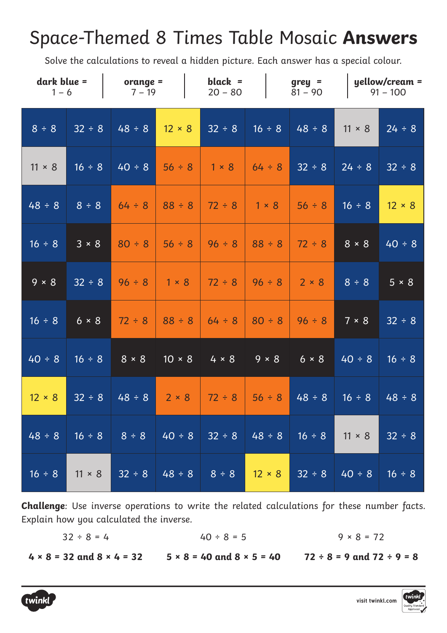#### Space-Themed 8 Times Table Mosaic **Answers**

Solve the calculations to reveal a hidden picture. Each answer has a special colour.

| dark blue =<br>$1 - 6$ |               | orange $=$<br>$7 - 19$ |               | black $=$<br>$20 - 80$                               |               | $grey =$<br>$81 - 90$ |               | yellow/cream =<br>$91 - 100$ |
|------------------------|---------------|------------------------|---------------|------------------------------------------------------|---------------|-----------------------|---------------|------------------------------|
| 8 ÷ 8                  | $32 \div 8$   | $48 \div 8$            | $12 \times 8$ | $32 \div 8$                                          | $16 \div 8$   | $48 \div 8$           | $11 \times 8$ | 24 ÷ 8                       |
| $11 \times 8$          | $16 \div 8$   | $40 \div 8$            | $56 \div 8$   | $1 \times 8$                                         | $64 \div 8$   | 32 ÷ 8                | 24 ÷ 8        | $32 \div 8$                  |
| 48 ÷ 8                 | 8 ÷ 8         | $64 \div 8$            | $88 \div 8$   | $72 \div 8$                                          | $1 \times 8$  | 56 ÷ 8                | $16 \div 8$   | $12 \times 8$                |
| $16 \div 8$            | 3 × 8         | $80 \div 8$            | 56 ÷ 8        | $96 \div 8$                                          | $88 \div 8$   | $72 \div 8$           | $8 \times 8$  | $40 \div 8$                  |
| $9 \times 8$           | $32 \div 8$   | $96 \div 8$            | $1 \times 8$  | $72 \div 8$                                          | $96 \div 8$   | $2 \times 8$          | 8 ÷ 8         | 5 × 8                        |
| $16 \div 8$            | 6 × 8         | $72 \div 8$            | $88 \div 8$   | $64 \div 8$                                          | $80 \div 8$   | $96 \div 8$           | 7 × 8         | $32 \div 8$                  |
| $40 \div 8$            | $16 \div 8$   | $8 \times 8$           | $10 \times 8$ | $4 \times 8$                                         | $9 \times 8$  | $6 \times 8$          | $40 \div 8$   | $16 \div 8$                  |
| $12 \times 8$          | $32 \div 8$   | $48 \div 8$            | $2 \times 8$  | $72 \div 8$                                          | 56 ÷ 8        | $48 \div 8$           | $16 \div 8$   | 48 ÷ 8                       |
| $48 \div 8$            |               |                        |               | $16 \div 8$   $8 \div 8$   $40 \div 8$   $32 \div 8$ | $ 48 \div 8 $ | $16 \div 8$           | $11 \times 8$ | $32 \div 8$                  |
| $16 \div 8$            | $11 \times 8$ |                        |               | $32 \div 8$ 48 ÷ 8 8 ÷ 8                             | $12 \times 8$ | $32 \div 8$           | $40 \div 8$   | $16 \div 8$                  |

**Challenge**: Use inverse operations to write the related calculations for these number facts. Explain how you calculated the inverse.

> $32 \div 8 = 4$  $40 \div 8 = 5$  $9 \times 8 = 72$

**4 × 8 = 32 and 8 × 4 = 32 5 × 8 = 40 and 8 × 5 = 40 72 ÷ 8 = 9 and 72 ÷ 9 = 8**





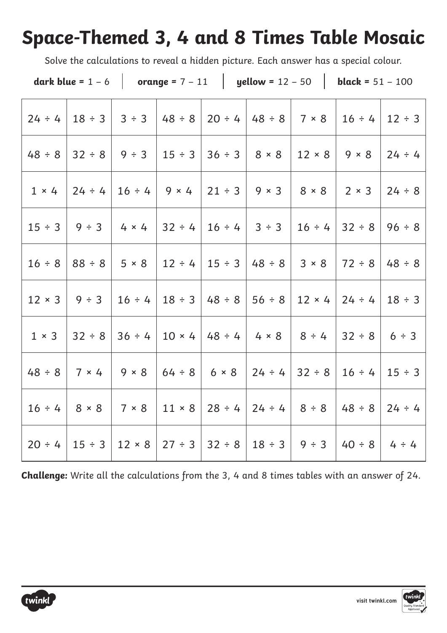### **Space-Themed 3, 4 and 8 Times Table Mosaic**

Solve the calculations to reveal a hidden picture. Each answer has a special colour.

|               |                                           |                                                                  |             |                                                | dark blue = $1 - 6$   orange = $7 - 11$   yellow = $12 - 50$   black = $51 - 100$                                           |                             |
|---------------|-------------------------------------------|------------------------------------------------------------------|-------------|------------------------------------------------|-----------------------------------------------------------------------------------------------------------------------------|-----------------------------|
|               |                                           | $24 \div 4$   $18 \div 3$   $3 \div 3$   $48 \div 8$             |             | $20 \div 4$   48 $\div 8$   7 $\times$ 8       |                                                                                                                             | $16 \div 4 \vert 12 \div 3$ |
|               |                                           | $48 \div 8$   32 ÷ 8   9 ÷ 3   15 ÷ 3                            |             | $36 \div 3$   $8 \times 8$   12 $\times 8$     | $9 \times 8$                                                                                                                | $24 \div 4$                 |
|               |                                           | $1 \times 4$   24 ÷ 4   16 ÷ 4   9 × 4                           |             |                                                | $21 \div 3$   9 × 3   8 × 8   2 × 3   24 ÷ 8                                                                                |                             |
|               |                                           | $15 \div 3$   9 $\div 3$   4 $\times$ 4   32 $\div 4$            |             | $16 \div 4$ 3 $\div 3$ 16 $\div 4$ 32 $\div 8$ |                                                                                                                             | $96 \div 8$                 |
|               |                                           |                                                                  |             |                                                | $16 \div 8$   88 $\div 8$   5 × 8   12 $\div 4$   15 $\div 3$   48 $\div 8$   3 × 8   72 $\div 8$   48 $\div 8$             |                             |
| $12 \times 3$ |                                           | $9 \div 3$   16 $\div 4$   18 $\div 3$                           | $48 \div 8$ |                                                | $ 56 \div 8   12 \times 4   24 \div 4$                                                                                      | $18 \div 3$                 |
|               |                                           | $1 \times 3$   32 ÷ 8   36 ÷ 4   10 × 4   48 ÷ 4   4 × 8   8 ÷ 4 |             |                                                | $32 \div 8$ 6 $\div$ 3                                                                                                      |                             |
|               |                                           |                                                                  |             |                                                | $48 \div 8$   7 × 4   9 × 8   64 ÷ 8   6 × 8   24 ÷ 4   32 ÷ 8   16 ÷ 4                                                     | $15 \div 3$                 |
|               | $16 \div 4$   $8 \times 8$   $7 \times 8$ | $11 \times 8$                                                    |             | $28 \div 4$   24 $\div 4$   8 $\div 8$         | $48 \div 8$                                                                                                                 | $24 \div 4$                 |
|               |                                           |                                                                  |             |                                                | $20 \div 4$   15 $\div 3$   12 $\times$ 8   27 $\div 3$   32 $\div 8$   18 $\div 3$   9 $\div 3$   40 $\div 8$   4 $\div 4$ |                             |

**Challenge:** Write all the calculations from the 3, 4 and 8 times tables with an answer of 24.



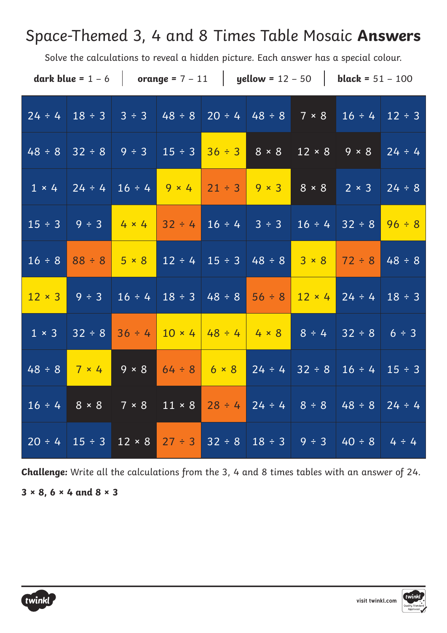#### Space-Themed 3, 4 and 8 Times Table Mosaic **Answers**

Solve the calculations to reveal a hidden picture. Each answer has a special colour.

|                   |                                                                       |              |             |                   |  | dark blue = $1 - 6$   orange = $7 - 11$   yellow = $12 - 50$   black = $51 - 100$          |             |
|-------------------|-----------------------------------------------------------------------|--------------|-------------|-------------------|--|--------------------------------------------------------------------------------------------|-------------|
|                   |                                                                       |              |             |                   |  | $24 \div 4$ $18 \div 3$ $3 \div 3$ $48 \div 8$ $20 \div 4$ $48 \div 8$ 7 × 8 16 ÷ 4 12 ÷ 3 |             |
|                   | $48 \div 8$ 32 ÷ 8   9 ÷ 3   15 ÷ 3   36 ÷ 3   8 × 8   12 × 8   9 × 8 |              |             |                   |  |                                                                                            | $24 \div 4$ |
|                   |                                                                       |              |             |                   |  | $1 \times 4$ 24 ÷ 4 16 ÷ 4 9 × 4 21 ÷ 3 9 × 3 8 × 8 2 × 3 24 ÷ 8                           |             |
|                   | $15 \div 3$ 9 ÷ 3 4 × 4                                               |              | $32 \div 4$ |                   |  | $16 \div 4$ 3 ÷ 3 16 ÷ 4 32 ÷ 8 96 ÷ 8                                                     |             |
|                   | $16 \div 8$ $88 \div 8$ 5 $\times$ 8                                  |              |             |                   |  | $12 \div 4$ 15 ÷ 3 48 ÷ 8 3 × 8 72 ÷ 8 48 ÷ 8                                              |             |
| $12 \times 3$     | $9 \div 3$                                                            | $16 \div 4$  |             |                   |  | $18 \div 3$ 48 ÷ 8 56 ÷ 8 12 × 4 24 ÷ 4                                                    | $18 \div 3$ |
| $1 \times 3$      | $32 \div 8$                                                           | $36 \div 4$  |             |                   |  | $10 \times 4$ 48 ÷ 4 4 $\times 8$ 8 ÷ 4 32 ÷ 8 6 ÷ 3                                       |             |
|                   | $48 \div 8$ 7 × 4                                                     | $9 \times 8$ |             | $64 \div 8$ 6 × 8 |  | $24 \div 4$ 32 ÷ 8 16 ÷ 4 15 ÷ 3                                                           |             |
| $16 \div 4$ 8 × 8 |                                                                       |              |             |                   |  | $7 \times 8$   11 × 8   28 ÷ 4   24 ÷ 4   8 ÷ 8   48 ÷ 8   24 ÷ 4                          |             |
|                   | $20 \div 4$ 15 ÷ 3 12 × 8 27 ÷ 3                                      |              |             |                   |  | $32 \div 8$ $18 \div 3$ $9 \div 3$ 40 ÷ 8 4 ÷ 4                                            |             |

**Challenge:** Write all the calculations from the 3, 4 and 8 times tables with an answer of 24. **3 × 8, 6 × 4 and 8 × 3**



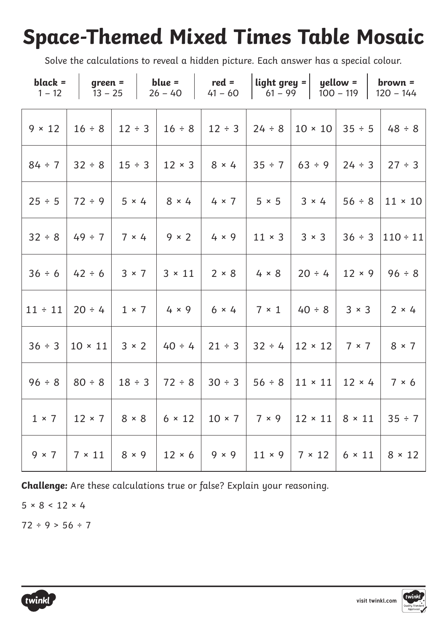## **Space-Themed Mixed Times Table Mosaic**

Solve the calculations to reveal a hidden picture. Each answer has a special colour.

|              |  | black = $\begin{vmatrix} \text{green} = \\ \text{green} \end{vmatrix}$ blue = $\begin{vmatrix} \text{red} = \\ \text{red} \end{vmatrix}$ light grey = $\begin{vmatrix} \text{yellow} = \\ \text{yellow} \end{vmatrix}$ brown = |  | $1-12$   $13-25$   $26-40$   $41-60$   $61-99$   $100-119$   $120-144$                                                                          |
|--------------|--|--------------------------------------------------------------------------------------------------------------------------------------------------------------------------------------------------------------------------------|--|-------------------------------------------------------------------------------------------------------------------------------------------------|
|              |  |                                                                                                                                                                                                                                |  | $9 \times 12$   16 ÷ 8   12 ÷ 3   16 ÷ 8   12 ÷ 3   24 ÷ 8   10 × 10   35 ÷ 5   48 ÷ 8                                                          |
|              |  |                                                                                                                                                                                                                                |  | $84 \div 7$   32 $\div 8$   15 $\div 3$   12 $\times$ 3   8 $\times$ 4   35 $\div 7$   63 $\div 9$   24 $\div 3$   27 $\div 3$                  |
|              |  |                                                                                                                                                                                                                                |  | $25 \div 5$   72 ÷ 9   5 × 4   8 × 4   4 × 7   5 × 5   3 × 4   56 ÷ 8   11 × 10                                                                 |
|              |  |                                                                                                                                                                                                                                |  | $32 \div 8$   49 ÷ 7   7 × 4   9 × 2   4 × 9   11 × 3   3 × 3   36 ÷ 3   110 ÷ 11                                                               |
|              |  |                                                                                                                                                                                                                                |  | $36 \div 6$   42 $\div 6$   3 × 7   3 × 11   2 × 8   4 × 8   20 ÷ 4   12 × 9   96 ÷ 8                                                           |
|              |  | $11 \div 11$ 20 ÷ 4   1 × 7   4 × 9   6 × 4   7 × 1   40 ÷ 8   3 × 3   2 × 4                                                                                                                                                   |  |                                                                                                                                                 |
| $36 \div 3$  |  | $ 10 \times 11 $ 3 × 2 $ 40 \div 4 21 \div 3 32 \div 4 12 \times 12 7 \times 7 8 \times 7$                                                                                                                                     |  |                                                                                                                                                 |
|              |  | $96 \div 8$   80 $\div 8$   18 $\div 3$   72 $\div 8$   30 $\div 3$   56 $\div 8$   11 $\times$ 11   12 $\times$ 4   7 $\times$ 6                                                                                              |  |                                                                                                                                                 |
|              |  |                                                                                                                                                                                                                                |  | $1 \times 7$   12 $\times$ 7   8 $\times$ 8   6 $\times$ 12   10 $\times$ 7   7 $\times$ 9   12 $\times$ 11   8 $\times$ 11   35 ÷ 7            |
| $9 \times 7$ |  |                                                                                                                                                                                                                                |  | $\vert 7 \times 11 \vert 8 \times 9 \vert 12 \times 6 \vert 9 \times 9 \vert 11 \times 9 \vert 7 \times 12 \vert 6 \times 11 \vert 8 \times 12$ |

**Challenge:** Are these calculations true or false? Explain your reasoning.

 $5 \times 8 < 12 \times 4$ 

 $72 \div 9 > 56 \div 7$ 

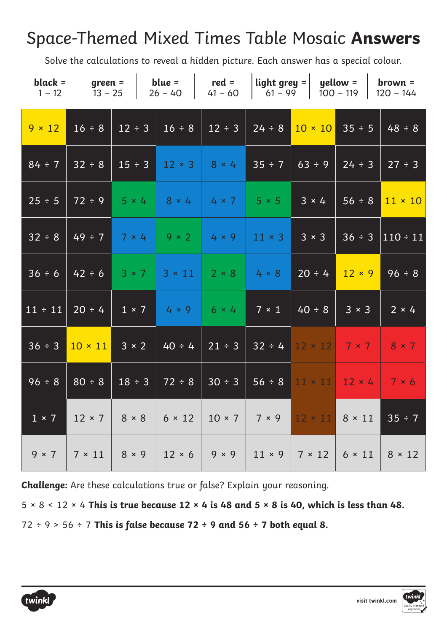#### Space-Themed Mixed Times Table Mosaic **Answers**

Solve the calculations to reveal a hidden picture. Each answer has a special colour.

| $black =$<br>$1 - 12$ | $ $ green =<br>$13 - 25$ |              | blue = $\qquad$ red =<br>$26 - 40$ | $41 - 60$     |               | $\left $ light grey = $\left  \right $ yellow = $\left  \right $<br>$\begin{vmatrix} 61 - 99 \end{vmatrix}$ 100 - 119   120 - 144 |               | $brown =$      |
|-----------------------|--------------------------|--------------|------------------------------------|---------------|---------------|-----------------------------------------------------------------------------------------------------------------------------------|---------------|----------------|
| $9 \times 12$         | $16 \div 8$              | $12 \div 3$  | $16 \div 8$                        | $12 \div 3$   | $24 \div 8$   | $10 \times 10$                                                                                                                    | 35 ÷ 5        | $48 \div 8$    |
| $84 \div 7$           | 32 ÷ 8                   | $15 \div 3$  | $12 \times 3$                      | $8 \times 4$  | 35 ÷ 7        | 63 ÷ 9                                                                                                                            | 24 ÷ 3        | 27 ÷ 3         |
| 25 ÷ 5                | $72 \div 9$              | $5 \times 4$ | $8 \times 4$                       | $4 \times 7$  | $5 \times 5$  | $3 \times 4$                                                                                                                      | $56 \div 8$   | $11 \times 10$ |
| 32 ÷ 8                | $49 \div 7$              | $7 \times 4$ | $9 \times 2$                       | $4 \times 9$  | $11 \times 3$ | $3 \times 3$                                                                                                                      | 36 ÷ 3        | $110 \div 11$  |
| 36 ÷ 6                | $42 \div 6$              | $3 \times 7$ | $3 \times 11$                      | $2 \times 8$  | $4 \times 8$  | $20 \div 4$                                                                                                                       | $12 \times 9$ | 96 ÷ 8         |
| $11 \div 11$          | $20 \div 4$              | $1 \times 7$ | $4 \times 9$                       | $6 \times 4$  | $7 \times 1$  | $40 \div 8$                                                                                                                       | $3 \times 3$  | $2 \times 4$   |
| $36 \div 3$           | $10 \times 11$           | $3 \times 2$ | $40 \div 4$                        | $21 \div 3$   | $32 \div 4$   | $12 \times 12$ 7 × 7                                                                                                              |               | $8 \times 7$   |
| 96 ÷ 8                | $80 \div 8$              | $18 \div 3$  | $72 \div 8$                        | $30 \div 3$   | 56 ÷ 8        | $11 \times 11$ 12 × 4                                                                                                             |               | 7 × 6          |
| $1 \times 7$          | $12 \times 7$            | $8 \times 8$ | $6 \times 12$                      | $10 \times 7$ | $7 \times 9$  | $12 \times 11$                                                                                                                    | $8 \times 11$ | 35 ÷ 7         |
| $9 \times 7$          | $7 \times 11$            | $8 \times 9$ | $12 \times 6$                      | $9 \times 9$  | $11 \times 9$ | $7 \times 12$                                                                                                                     | $6 \times 11$ | $8 \times 12$  |

**Challenge:** Are these calculations true or false? Explain your reasoning.

5 × 8 < 12 × 4 **This is true because 12 × 4 is 48 and 5 × 8 is 40, which is less than 48.**

72 ÷ 9 > 56 ÷ 7 **This is false because 72 ÷ 9 and 56 ÷ 7 both equal 8.**



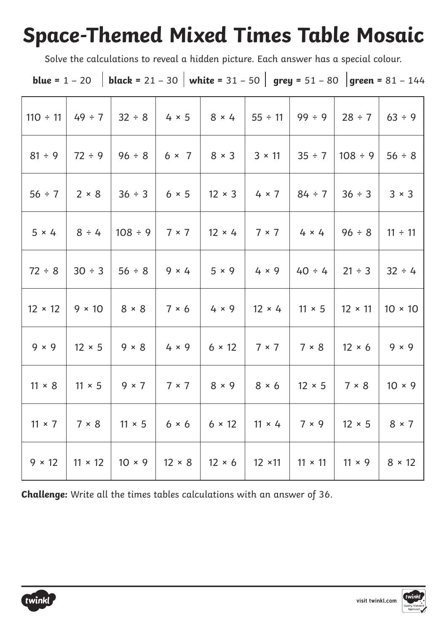## **Space-Themed Mixed Times Table Mosaic**

Solve the calculations to reveal a hidden picture. Each answer has a special colour.

|  | <b>blue</b> = 1 - 20   <b>black</b> = 21 - 30   <b>white</b> = 31 - 50   <b>grey</b> = 51 - 80   <b>green</b> = 81 - 144 |  |  |  |
|--|--------------------------------------------------------------------------------------------------------------------------|--|--|--|
|--|--------------------------------------------------------------------------------------------------------------------------|--|--|--|

|                |                     | $110 \div 11$ 49 ÷ 7   32 ÷ 8   4 × 5   8 × 4   55 ÷ 11   99 ÷ 9   28 ÷ 7   63 ÷ 9                                                        |                                                                  |               |                                             |                                                               |                |
|----------------|---------------------|-------------------------------------------------------------------------------------------------------------------------------------------|------------------------------------------------------------------|---------------|---------------------------------------------|---------------------------------------------------------------|----------------|
| $81 \div 9$    |                     | 72 ÷ 9   96 ÷ 8   6 × 7   8 × 3   3 × 11   35 ÷ 7  108 ÷ 9                                                                                |                                                                  |               |                                             |                                                               | $56 \div 8$    |
| $56 \div 7$    | $2 \times 8$ 36 ÷ 3 |                                                                                                                                           | $6 \times 5$                                                     |               |                                             | $12 \times 3$ 4 $\times$ 7 84 ÷ 7 36 ÷ 3                      | $3 \times 3$   |
| $5 \times 4$   | $8 \div 4$          |                                                                                                                                           | $ 108 \div 9 $ 7 × 7 $ 12 \times 4 $ 7 × 7 $ 4 \times 4 $ 96 ÷ 8 |               |                                             |                                                               | $11 \div 11$   |
|                |                     | $72 \div 8$   30 $\div 3$   56 $\div 8$   9 $\times$ 4   5 $\times$ 9   4 $\times$ 9   40 $\div 4$   21 $\div 3$   32 $\div 4$            |                                                                  |               |                                             |                                                               |                |
| $12 \times 12$ |                     | $9 \times 10$ 8 $\times$ 8 7 $\times$ 6                                                                                                   |                                                                  |               |                                             | $4 \times 9$   12 $\times$ 4   11 $\times$ 5   12 $\times$ 11 | $10 \times 10$ |
| $9 \times 9$   |                     | $12 \times 5$ 9 $\times$ 8 4 $\times$ 9                                                                                                   |                                                                  |               | $6 \times 12$   $7 \times 7$   $7 \times 8$ | $12 \times 6$                                                 | $9 \times 9$   |
| $11 \times 8$  |                     | 11 × 5   9 × 7   7 × 7   8 × 9   8 × 6   12 × 5   7 × 8                                                                                   |                                                                  |               |                                             |                                                               | $10 \times 9$  |
|                |                     | $11 \times 7$   $7 \times 8$   $11 \times 5$   $6 \times 6$   $6 \times 12$   $11 \times 4$   $7 \times 9$   $12 \times 5$   $8 \times 7$ |                                                                  |               |                                             |                                                               |                |
| $9 \times 12$  | $11 \times 12$      | $10 \times 9$                                                                                                                             | $12 \times 8$                                                    | $12 \times 6$ |                                             | 12 ×11   11 × 11   11 × 9                                     | $8 \times 12$  |

**Challenge:** Write all the times tables calculations with an answer of 36.